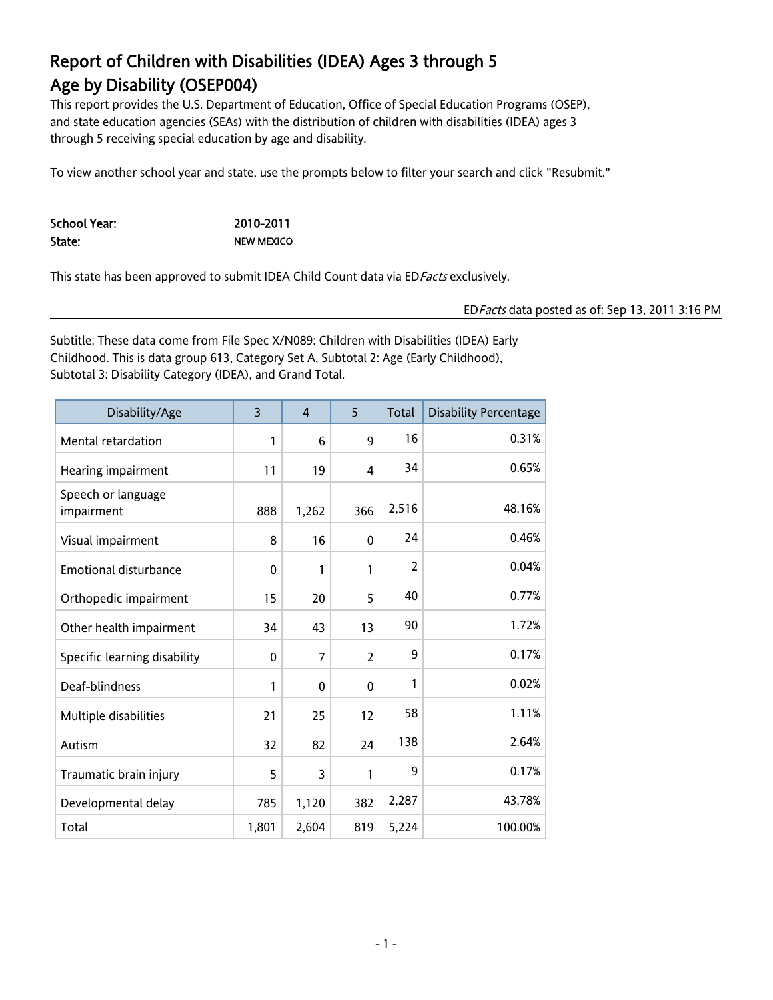This report provides the U.S. Department of Education, Office of Special Education Programs (OSEP), and state education agencies (SEAs) with the distribution of children with disabilities (IDEA) ages 3 through 5 receiving special education by age and disability.

To view another school year and state, use the prompts below to filter your search and click "Resubmit."

School Year: 2010-2011 State: NEW MEXICO

This state has been approved to submit IDEA Child Count data via ED Facts exclusively.

#### EDFacts data posted as of: Sep 13, 2011 3:16 PM

Subtitle: These data come from File Spec X/N089: Children with Disabilities (IDEA) Early Childhood. This is data group 613, Category Set A, Subtotal 2: Age (Early Childhood), Subtotal 3: Disability Category (IDEA), and Grand Total.

| Disability/Age                   | $\overline{3}$ | $\overline{4}$ | 5              | Total          | <b>Disability Percentage</b> |
|----------------------------------|----------------|----------------|----------------|----------------|------------------------------|
| Mental retardation               | 1              | 6              | 9              | 16             | 0.31%                        |
| Hearing impairment               | 11             | 19             | 4              | 34             | 0.65%                        |
| Speech or language<br>impairment | 888            | 1,262          | 366            | 2,516          | 48.16%                       |
| Visual impairment                | 8              | 16             | 0              | 24             | 0.46%                        |
| Emotional disturbance            | 0              | 1              | 1              | $\overline{2}$ | 0.04%                        |
| Orthopedic impairment            | 15             | 20             | 5              | 40             | 0.77%                        |
| Other health impairment          | 34             | 43             | 13             | 90             | 1.72%                        |
| Specific learning disability     | 0              | 7              | $\overline{2}$ | 9              | 0.17%                        |
| Deaf-blindness                   | 1              | $\mathbf{0}$   | 0              | 1              | 0.02%                        |
| Multiple disabilities            | 21             | 25             | 12             | 58             | 1.11%                        |
| Autism                           | 32             | 82             | 24             | 138            | 2.64%                        |
| Traumatic brain injury           | 5              | 3              | 1              | 9              | 0.17%                        |
| Developmental delay              | 785            | 1,120          | 382            | 2,287          | 43.78%                       |
| Total                            | 1,801          | 2,604          | 819            | 5,224          | 100.00%                      |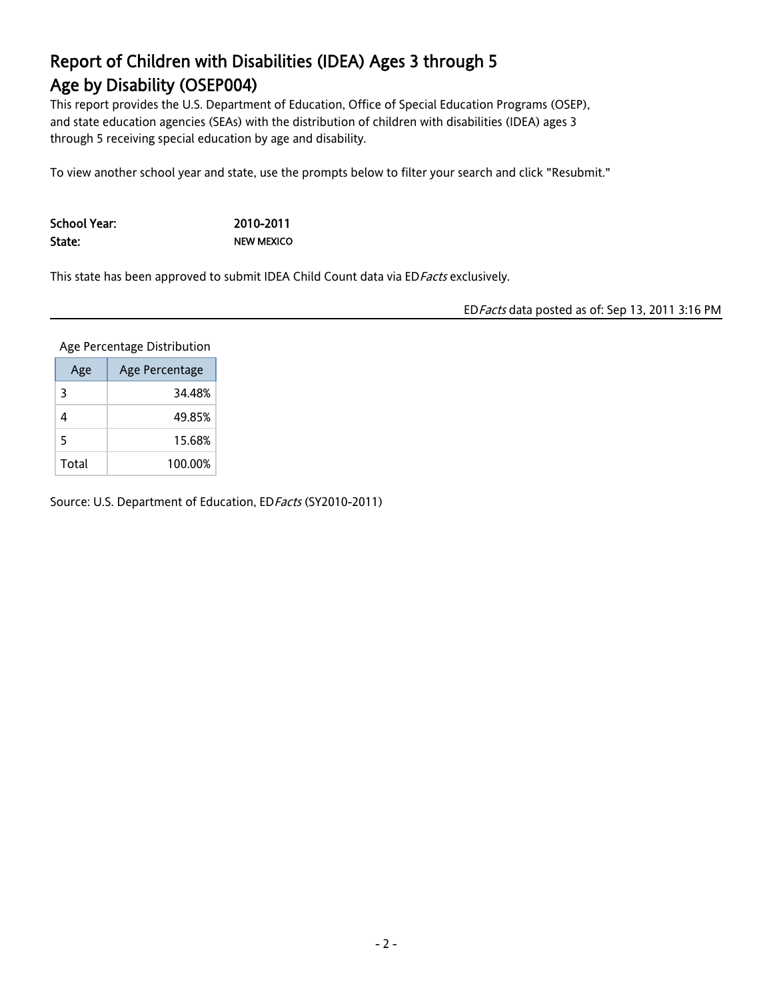This report provides the U.S. Department of Education, Office of Special Education Programs (OSEP), and state education agencies (SEAs) with the distribution of children with disabilities (IDEA) ages 3 through 5 receiving special education by age and disability.

To view another school year and state, use the prompts below to filter your search and click "Resubmit."

School Year: 2010-2011 State: NEW MEXICO

This state has been approved to submit IDEA Child Count data via ED Facts exclusively.

EDFacts data posted as of: Sep 13, 2011 3:16 PM

Age Percentage Distribution

| Age   | Age Percentage |
|-------|----------------|
| 3     | 34.48%         |
| 4     | 49.85%         |
| 5     | 15.68%         |
| Total | 100.00%        |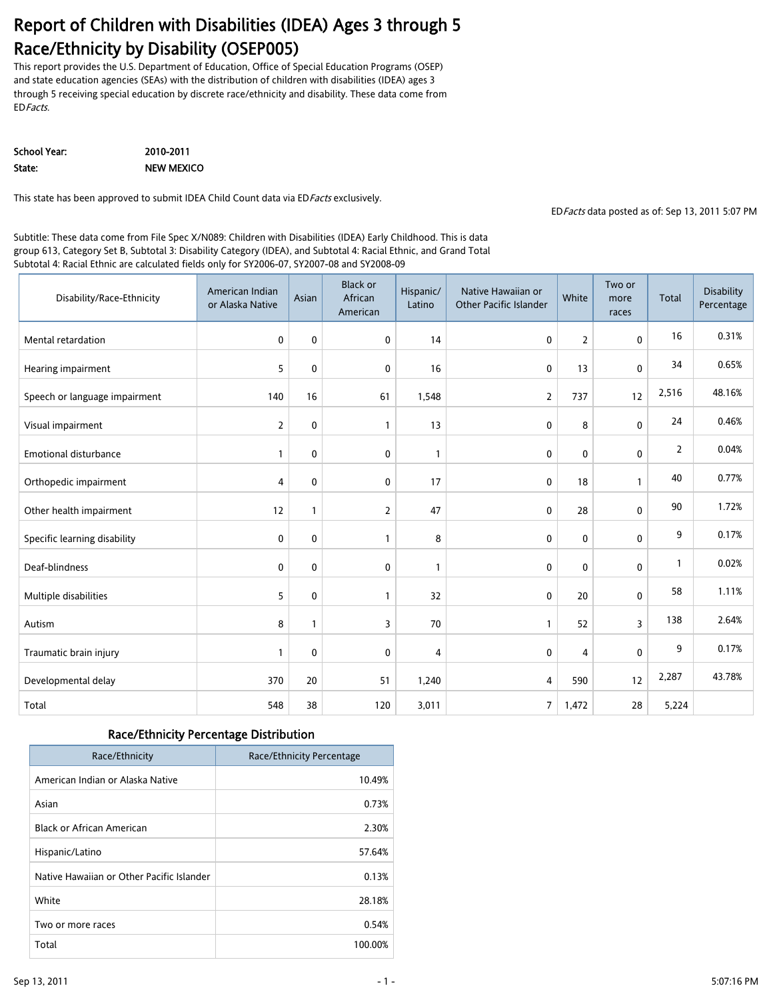#### Report of Children with Disabilities (IDEA) Ages 3 through 5 Race/Ethnicity by Disability (OSEP005)

This report provides the U.S. Department of Education, Office of Special Education Programs (OSEP) and state education agencies (SEAs) with the distribution of children with disabilities (IDEA) ages 3 through 5 receiving special education by discrete race/ethnicity and disability. These data come from EDFacts.

School Year: 2010-2011 State: NEW MEXICO

This state has been approved to submit IDEA Child Count data via ED Facts exclusively.

EDFacts data posted as of: Sep 13, 2011 5:07 PM

Subtitle: These data come from File Spec X/N089: Children with Disabilities (IDEA) Early Childhood. This is data group 613, Category Set B, Subtotal 3: Disability Category (IDEA), and Subtotal 4: Racial Ethnic, and Grand Total Subtotal 4: Racial Ethnic are calculated fields only for SY2006-07, SY2007-08 and SY2008-09

| Disability/Race-Ethnicity     | American Indian<br>or Alaska Native | Asian       | <b>Black or</b><br>African<br>American | Hispanic/<br>Latino | Native Hawaiian or<br><b>Other Pacific Islander</b> | White | Two or<br>more<br>races | Total | Disability<br>Percentage |
|-------------------------------|-------------------------------------|-------------|----------------------------------------|---------------------|-----------------------------------------------------|-------|-------------------------|-------|--------------------------|
| Mental retardation            | 0                                   | $\mathbf 0$ | 0                                      | 14                  | 0                                                   | 2     | $\mathbf 0$             | 16    | 0.31%                    |
| Hearing impairment            | 5                                   | $\mathbf 0$ | 0                                      | 16                  | 0                                                   | 13    | $\mathbf 0$             | 34    | 0.65%                    |
| Speech or language impairment | 140                                 | 16          | 61                                     | 1,548               | $\overline{2}$                                      | 737   | 12                      | 2,516 | 48.16%                   |
| Visual impairment             | $\overline{2}$                      | $\mathbf 0$ | $\mathbf{1}$                           | 13                  | 0                                                   | 8     | $\mathbf 0$             | 24    | 0.46%                    |
| <b>Emotional disturbance</b>  | 1                                   | 0           | 0                                      | $\mathbf{1}$        | 0                                                   | 0     | 0                       | 2     | 0.04%                    |
| Orthopedic impairment         | $\overline{4}$                      | $\mathbf 0$ | $\mathbf 0$                            | 17                  | 0                                                   | 18    | $\mathbf{1}$            | 40    | 0.77%                    |
| Other health impairment       | 12                                  | 1           | $\overline{2}$                         | 47                  | 0                                                   | 28    | $\mathbf 0$             | 90    | 1.72%                    |
| Specific learning disability  | 0                                   | 0           | 1                                      | 8                   | 0                                                   | 0     | $\mathbf 0$             | 9     | 0.17%                    |
| Deaf-blindness                | 0                                   | $\mathbf 0$ | 0                                      | $\mathbf{1}$        | 0                                                   | 0     | 0                       | 1     | 0.02%                    |
| Multiple disabilities         | 5                                   | $\mathbf 0$ | $\mathbf{1}$                           | 32                  | 0                                                   | 20    | 0                       | 58    | 1.11%                    |
| Autism                        | 8                                   | 1           | 3                                      | 70                  | $\mathbf{1}$                                        | 52    | 3                       | 138   | 2.64%                    |
| Traumatic brain injury        | 1                                   | $\mathbf 0$ | 0                                      | 4                   | 0                                                   | 4     | $\mathbf 0$             | 9     | 0.17%                    |
| Developmental delay           | 370                                 | 20          | 51                                     | 1,240               | 4                                                   | 590   | 12                      | 2,287 | 43.78%                   |
| Total                         | 548                                 | 38          | 120                                    | 3,011               | 7                                                   | 1,472 | 28                      | 5,224 |                          |

#### Race/Ethnicity Percentage Distribution

| Race/Ethnicity                            | Race/Ethnicity Percentage |
|-------------------------------------------|---------------------------|
| American Indian or Alaska Native          | 10.49%                    |
| Asian                                     | 0.73%                     |
| Black or African American                 | 2.30%                     |
| Hispanic/Latino                           | 57.64%                    |
| Native Hawaiian or Other Pacific Islander | 0.13%                     |
| White                                     | 28.18%                    |
| Two or more races                         | 0.54%                     |
| Total                                     | 100.00%                   |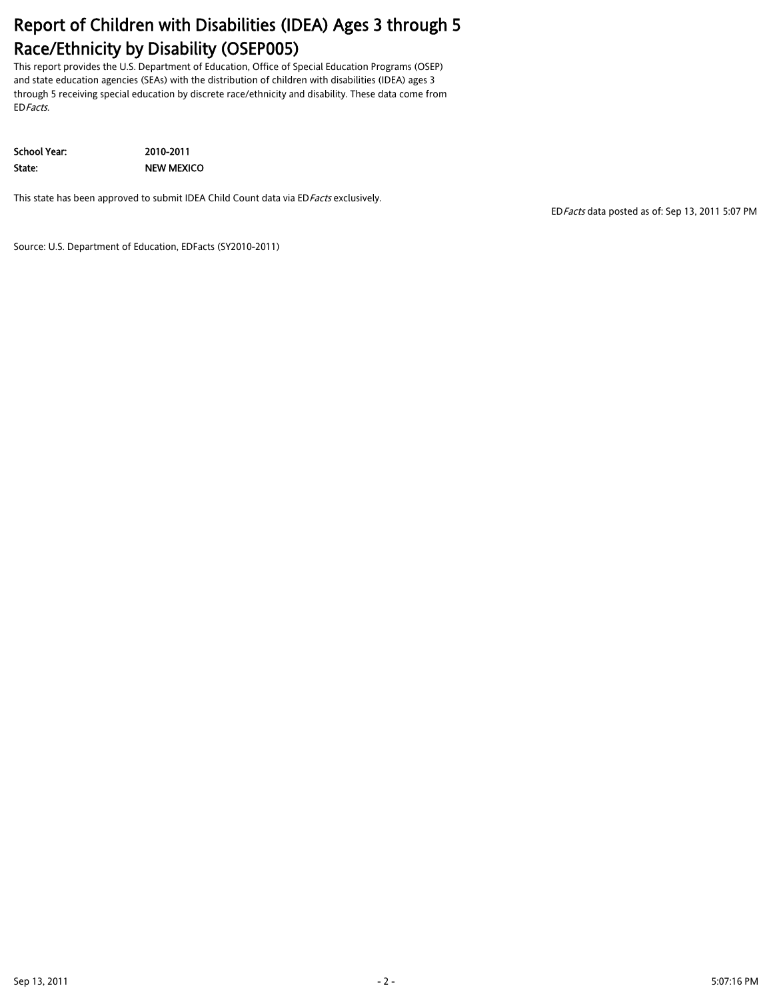## Report of Children with Disabilities (IDEA) Ages 3 through 5 Race/Ethnicity by Disability (OSEP005)

This report provides the U.S. Department of Education, Office of Special Education Programs (OSEP) and state education agencies (SEAs) with the distribution of children with disabilities (IDEA) ages 3 through 5 receiving special education by discrete race/ethnicity and disability. These data come from EDFacts.

School Year: 2010-2011 State: NEW MEXICO

This state has been approved to submit IDEA Child Count data via ED Facts exclusively.

EDFacts data posted as of: Sep 13, 2011 5:07 PM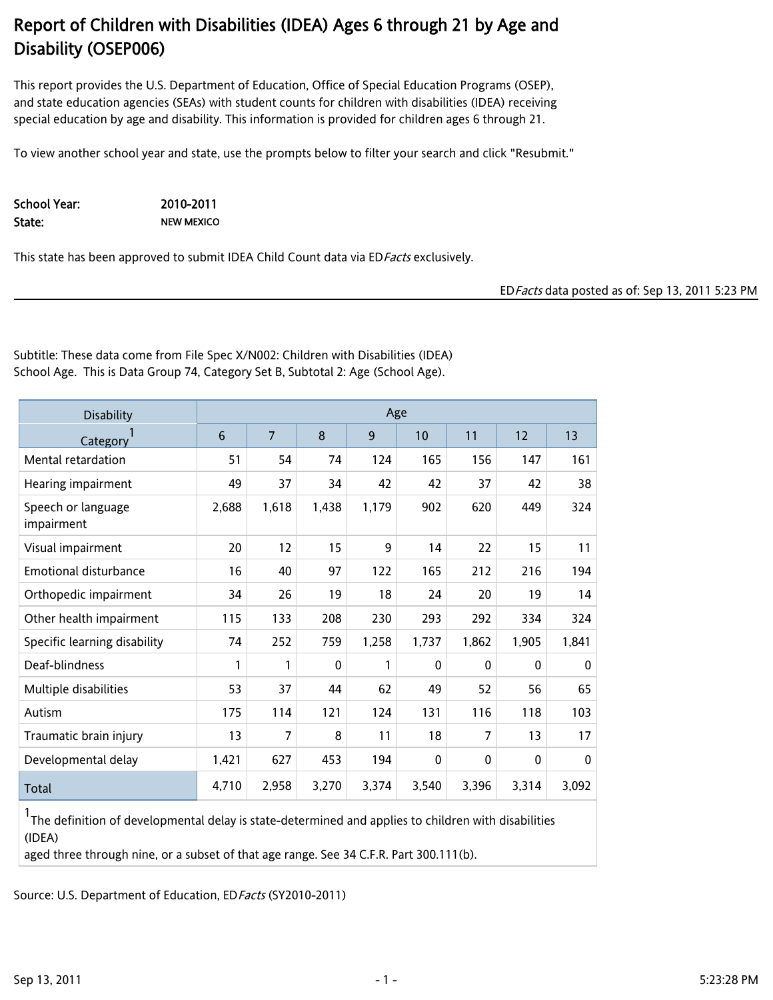This report provides the U.S. Department of Education, Office of Special Education Programs (OSEP), and state education agencies (SEAs) with student counts for children with disabilities (IDEA) receiving special education by age and disability. This information is provided for children ages 6 through 21.

To view another school year and state, use the prompts below to filter your search and click "Resubmit."

School Year: 2010-2011 State: NEW MEXICO

This state has been approved to submit IDEA Child Count data via ED Facts exclusively.

EDFacts data posted as of: Sep 13, 2011 5:23 PM

Subtitle: These data come from File Spec X/N002: Children with Disabilities (IDEA) School Age. This is Data Group 74, Category Set B, Subtotal 2: Age (School Age).

| <b>Disability</b>                | Age   |                |       |       |              |                |              |       |
|----------------------------------|-------|----------------|-------|-------|--------------|----------------|--------------|-------|
| Category                         | 6     | $\overline{7}$ | 8     | 9     | 10           | 11             | 12           | 13    |
| Mental retardation               | 51    | 54             | 74    | 124   | 165          | 156            | 147          | 161   |
| Hearing impairment               | 49    | 37             | 34    | 42    | 42           | 37             | 42           | 38    |
| Speech or language<br>impairment | 2,688 | 1,618          | 1,438 | 1,179 | 902          | 620            | 449          | 324   |
| Visual impairment                | 20    | 12             | 15    | 9     | 14           | 22             | 15           | 11    |
| Emotional disturbance            | 16    | 40             | 97    | 122   | 165          | 212            | 216          | 194   |
| Orthopedic impairment            | 34    | 26             | 19    | 18    | 24           | 20             | 19           | 14    |
| Other health impairment          | 115   | 133            | 208   | 230   | 293          | 292            | 334          | 324   |
| Specific learning disability     | 74    | 252            | 759   | 1,258 | 1,737        | 1,862          | 1,905        | 1,841 |
| Deaf-blindness                   | 1     | $\mathbf{1}$   | 0     | 1     | 0            | 0              | $\mathbf{0}$ | 0     |
| Multiple disabilities            | 53    | 37             | 44    | 62    | 49           | 52             | 56           | 65    |
| Autism                           | 175   | 114            | 121   | 124   | 131          | 116            | 118          | 103   |
| Traumatic brain injury           | 13    | $\overline{7}$ | 8     | 11    | 18           | $\overline{7}$ | 13           | 17    |
| Developmental delay              | 1,421 | 627            | 453   | 194   | $\mathbf{0}$ | $\mathbf{0}$   | $\mathbf{0}$ | 0     |
| Total                            | 4,710 | 2,958          | 3,270 | 3,374 | 3,540        | 3,396          | 3,314        | 3,092 |

1 The definition of developmental delay is state-determined and applies to children with disabilities (IDEA)

aged three through nine, or a subset of that age range. See 34 C.F.R. Part 300.111(b).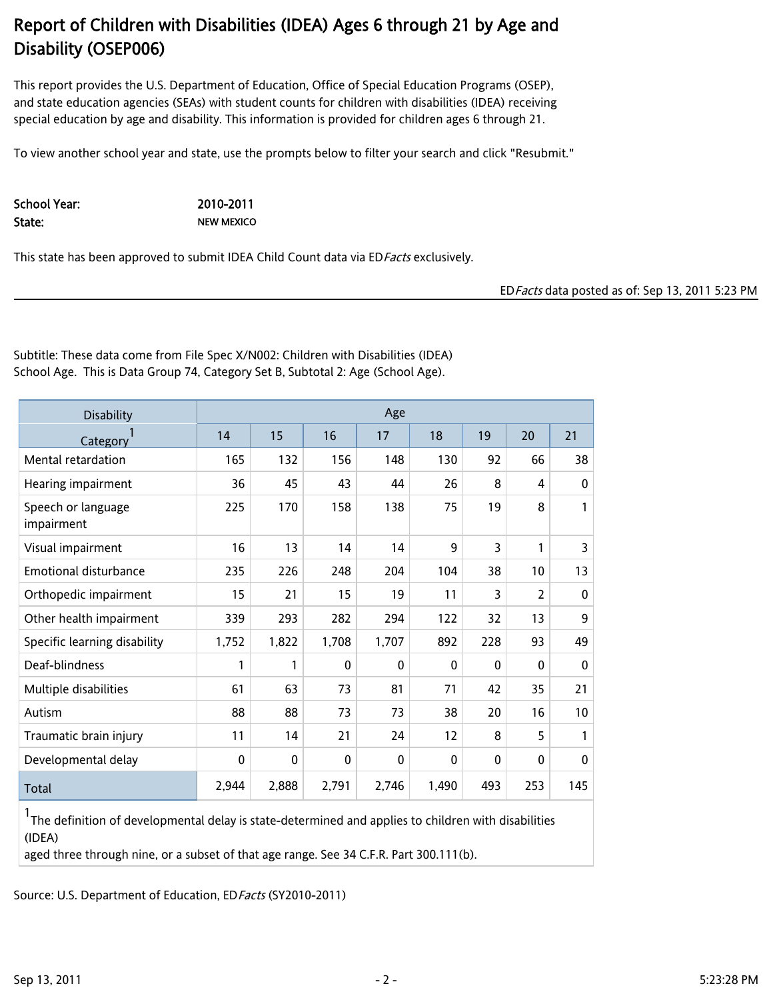This report provides the U.S. Department of Education, Office of Special Education Programs (OSEP), and state education agencies (SEAs) with student counts for children with disabilities (IDEA) receiving special education by age and disability. This information is provided for children ages 6 through 21.

To view another school year and state, use the prompts below to filter your search and click "Resubmit."

School Year: 2010-2011

State: NEW MEXICO

This state has been approved to submit IDEA Child Count data via ED Facts exclusively.

EDFacts data posted as of: Sep 13, 2011 5:23 PM

Subtitle: These data come from File Spec X/N002: Children with Disabilities (IDEA) School Age. This is Data Group 74, Category Set B, Subtotal 2: Age (School Age).

| <b>Disability</b>                |             |              |              | Age          |              |     |              |              |
|----------------------------------|-------------|--------------|--------------|--------------|--------------|-----|--------------|--------------|
| Category                         | 14          | 15           | 16           | 17           | 18           | 19  | 20           | 21           |
| Mental retardation               | 165         | 132          | 156          | 148          | 130          | 92  | 66           | 38           |
| Hearing impairment               | 36          | 45           | 43           | 44           | 26           | 8   | 4            | 0            |
| Speech or language<br>impairment | 225         | 170          | 158          | 138          | 75           | 19  | 8            | 1            |
| Visual impairment                | 16          | 13           | 14           | 14           | 9            | 3   | 1            | 3            |
| Emotional disturbance            | 235         | 226          | 248          | 204          | 104          | 38  | 10           | 13           |
| Orthopedic impairment            | 15          | 21           | 15           | 19           | 11           | 3   | 2            | $\mathbf{0}$ |
| Other health impairment          | 339         | 293          | 282          | 294          | 122          | 32  | 13           | 9            |
| Specific learning disability     | 1,752       | 1,822        | 1,708        | 1,707        | 892          | 228 | 93           | 49           |
| Deaf-blindness                   | 1           | 1            | $\mathbf{0}$ | $\mathbf{0}$ | $\mathbf{0}$ | 0   | $\mathbf{0}$ | 0            |
| Multiple disabilities            | 61          | 63           | 73           | 81           | 71           | 42  | 35           | 21           |
| Autism                           | 88          | 88           | 73           | 73           | 38           | 20  | 16           | 10           |
| Traumatic brain injury           | 11          | 14           | 21           | 24           | 12           | 8   | 5            | 1            |
| Developmental delay              | $\mathbf 0$ | $\mathbf{0}$ | $\mathbf{0}$ | $\mathbf{0}$ | $\mathbf{0}$ | 0   | $\mathbf{0}$ | 0            |
| Total                            | 2,944       | 2,888        | 2,791        | 2,746        | 1,490        | 493 | 253          | 145          |

1 The definition of developmental delay is state-determined and applies to children with disabilities (IDEA)

aged three through nine, or a subset of that age range. See 34 C.F.R. Part 300.111(b).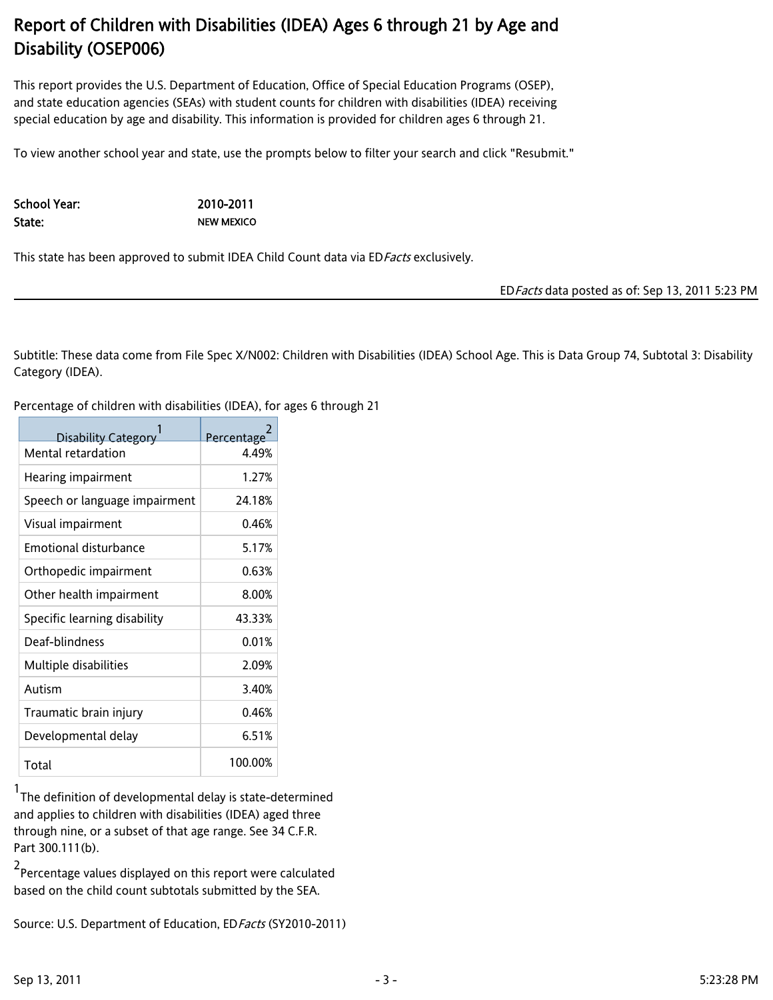This report provides the U.S. Department of Education, Office of Special Education Programs (OSEP), and state education agencies (SEAs) with student counts for children with disabilities (IDEA) receiving special education by age and disability. This information is provided for children ages 6 through 21.

To view another school year and state, use the prompts below to filter your search and click "Resubmit."

School Year: 2010-2011

State: NEW MEXICO

This state has been approved to submit IDEA Child Count data via ED Facts exclusively.

EDFacts data posted as of: Sep 13, 2011 5:23 PM

Subtitle: These data come from File Spec X/N002: Children with Disabilities (IDEA) School Age. This is Data Group 74, Subtotal 3: Disability Category (IDEA).

Percentage of children with disabilities (IDEA), for ages 6 through 21

| <b>Disability Category</b>    | Percentage |
|-------------------------------|------------|
| Mental retardation            | 4.49%      |
| Hearing impairment            | 1.27%      |
| Speech or language impairment | 24.18%     |
| Visual impairment             | 0.46%      |
| Emotional disturbance         | 5.17%      |
| Orthopedic impairment         | 0.63%      |
| Other health impairment       | 8.00%      |
| Specific learning disability  | 43.33%     |
| Deaf-blindness                | 0.01%      |
| Multiple disabilities         | 2.09%      |
| Autism                        | 3.40%      |
| Traumatic brain injury        | 0.46%      |
| Developmental delay           | 6.51%      |
| Total                         | 100.00%    |

1 The definition of developmental delay is state-determined and applies to children with disabilities (IDEA) aged three through nine, or a subset of that age range. See 34 C.F.R. Part 300.111(b).

2 Percentage values displayed on this report were calculated based on the child count subtotals submitted by the SEA.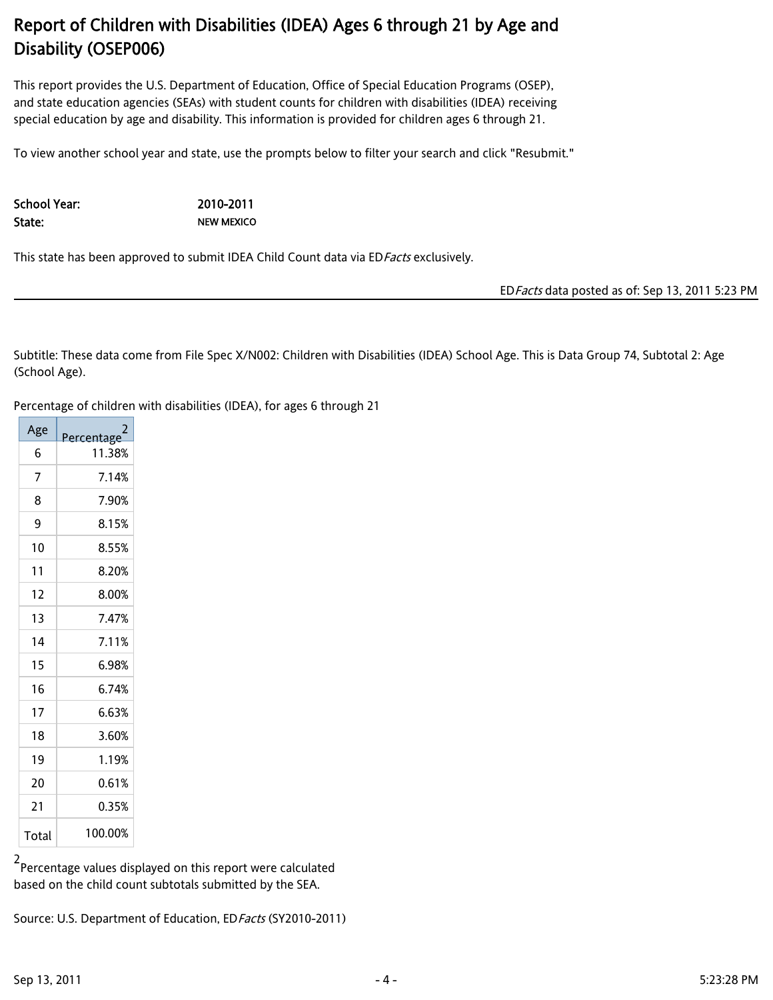This report provides the U.S. Department of Education, Office of Special Education Programs (OSEP), and state education agencies (SEAs) with student counts for children with disabilities (IDEA) receiving special education by age and disability. This information is provided for children ages 6 through 21.

To view another school year and state, use the prompts below to filter your search and click "Resubmit."

School Year: 2010-2011

State: NEW MEXICO

This state has been approved to submit IDEA Child Count data via ED Facts exclusively.

EDFacts data posted as of: Sep 13, 2011 5:23 PM

Subtitle: These data come from File Spec X/N002: Children with Disabilities (IDEA) School Age. This is Data Group 74, Subtotal 2: Age (School Age).

Percentage of children with disabilities (IDEA), for ages 6 through 21

| Age   | Percentage |
|-------|------------|
| 6     | 11.38%     |
| 7     | 7.14%      |
| 8     | 7.90%      |
| 9     | 8.15%      |
| 10    | 8.55%      |
| 11    | 8.20%      |
| 12    | 8.00%      |
| 13    | 7.47%      |
| 14    | 7.11%      |
| 15    | 6.98%      |
| 16    | 6.74%      |
| 17    | 6.63%      |
| 18    | 3.60%      |
| 19    | 1.19%      |
| 20    | 0.61%      |
| 21    | 0.35%      |
| Total | 100.00%    |

2 Percentage values displayed on this report were calculated based on the child count subtotals submitted by the SEA.

Source: U.S. Department of Education, ED Facts (SY2010-2011)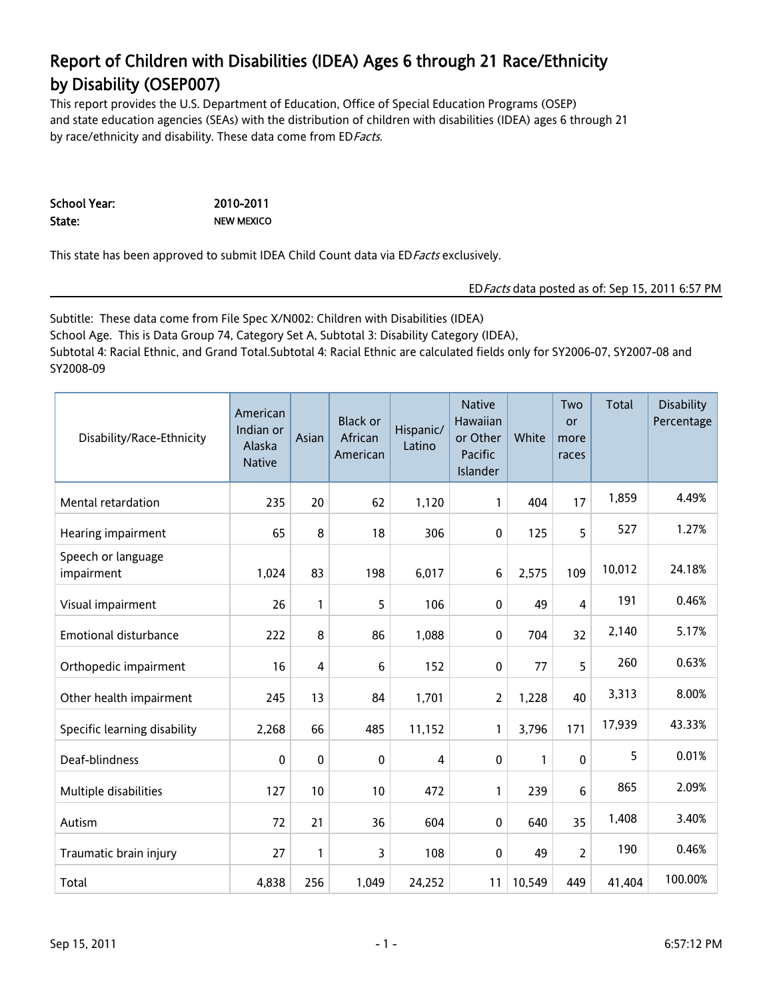## Report of Children with Disabilities (IDEA) Ages 6 through 21 Race/Ethnicity by Disability (OSEP007)

This report provides the U.S. Department of Education, Office of Special Education Programs (OSEP) and state education agencies (SEAs) with the distribution of children with disabilities (IDEA) ages 6 through 21 by race/ethnicity and disability. These data come from ED Facts.

| School Year: | 2010-2011         |
|--------------|-------------------|
| State:       | <b>NEW MEXICO</b> |

This state has been approved to submit IDEA Child Count data via ED Facts exclusively.

#### EDFacts data posted as of: Sep 15, 2011 6:57 PM

Subtitle: These data come from File Spec X/N002: Children with Disabilities (IDEA) School Age. This is Data Group 74, Category Set A, Subtotal 3: Disability Category (IDEA), Subtotal 4: Racial Ethnic, and Grand Total.Subtotal 4: Racial Ethnic are calculated fields only for SY2006-07, SY2007-08 and SY2008-09

| Disability/Race-Ethnicity        | American<br>Indian or<br>Alaska<br><b>Native</b> | Asian          | <b>Black or</b><br>African<br>American | Hispanic/<br>Latino | <b>Native</b><br>Hawaiian<br>or Other<br>Pacific<br>Islander | White  | Two<br>or<br>more<br>races | Total  | Disability<br>Percentage |
|----------------------------------|--------------------------------------------------|----------------|----------------------------------------|---------------------|--------------------------------------------------------------|--------|----------------------------|--------|--------------------------|
| Mental retardation               | 235                                              | 20             | 62                                     | 1,120               | 1                                                            | 404    | 17                         | 1,859  | 4.49%                    |
| Hearing impairment               | 65                                               | 8              | 18                                     | 306                 | 0                                                            | 125    | 5                          | 527    | 1.27%                    |
| Speech or language<br>impairment | 1,024                                            | 83             | 198                                    | 6,017               | 6                                                            | 2,575  | 109                        | 10,012 | 24.18%                   |
| Visual impairment                | 26                                               | 1              | 5                                      | 106                 | 0                                                            | 49     | 4                          | 191    | 0.46%                    |
| <b>Emotional disturbance</b>     | 222                                              | 8              | 86                                     | 1,088               | 0                                                            | 704    | 32                         | 2,140  | 5.17%                    |
| Orthopedic impairment            | 16                                               | $\overline{4}$ | 6                                      | 152                 | 0                                                            | 77     | 5                          | 260    | 0.63%                    |
| Other health impairment          | 245                                              | 13             | 84                                     | 1,701               | 2                                                            | 1,228  | 40                         | 3,313  | 8.00%                    |
| Specific learning disability     | 2,268                                            | 66             | 485                                    | 11,152              | 1                                                            | 3,796  | 171                        | 17,939 | 43.33%                   |
| Deaf-blindness                   | 0                                                | 0              | 0                                      | 4                   | 0                                                            | 1      | $\mathbf{0}$               | 5      | 0.01%                    |
| Multiple disabilities            | 127                                              | 10             | 10                                     | 472                 | 1                                                            | 239    | 6                          | 865    | 2.09%                    |
| Autism                           | 72                                               | 21             | 36                                     | 604                 | 0                                                            | 640    | 35                         | 1,408  | 3.40%                    |
| Traumatic brain injury           | 27                                               | 1              | 3                                      | 108                 | 0                                                            | 49     | 2                          | 190    | 0.46%                    |
| Total                            | 4,838                                            | 256            | 1,049                                  | 24,252              | 11                                                           | 10,549 | 449                        | 41,404 | 100.00%                  |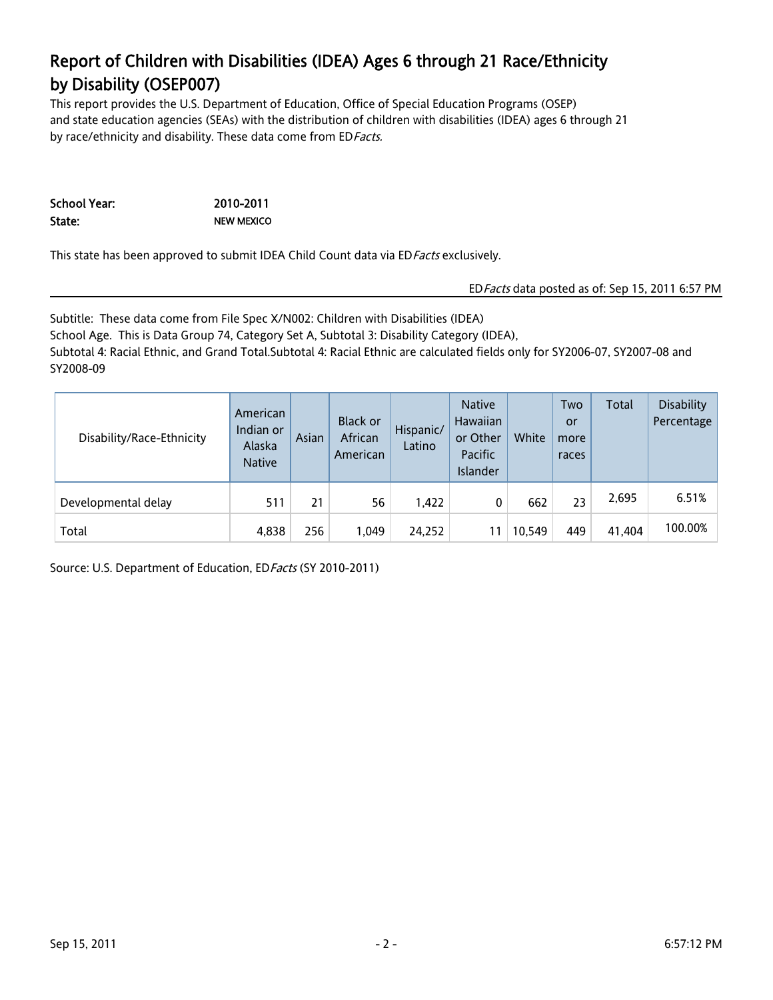## Report of Children with Disabilities (IDEA) Ages 6 through 21 Race/Ethnicity by Disability (OSEP007)

This report provides the U.S. Department of Education, Office of Special Education Programs (OSEP) and state education agencies (SEAs) with the distribution of children with disabilities (IDEA) ages 6 through 21 by race/ethnicity and disability. These data come from ED Facts.

| School Year: | 2010-2011         |
|--------------|-------------------|
| State:       | <b>NEW MEXICO</b> |

This state has been approved to submit IDEA Child Count data via ED Facts exclusively.

#### EDFacts data posted as of: Sep 15, 2011 6:57 PM

Subtitle: These data come from File Spec X/N002: Children with Disabilities (IDEA) School Age. This is Data Group 74, Category Set A, Subtotal 3: Disability Category (IDEA), Subtotal 4: Racial Ethnic, and Grand Total.Subtotal 4: Racial Ethnic are calculated fields only for SY2006-07, SY2007-08 and SY2008-09

| Disability/Race-Ethnicity | American<br>Indian or<br>Alaska<br><b>Native</b> | Asian | Black or<br>African<br>American | Hispanic/<br>Latino | <b>Native</b><br>Hawaiian<br>or Other<br>Pacific<br>Islander | White  | Two<br>or<br>more<br>races | Total  | <b>Disability</b><br>Percentage |
|---------------------------|--------------------------------------------------|-------|---------------------------------|---------------------|--------------------------------------------------------------|--------|----------------------------|--------|---------------------------------|
| Developmental delay       | 511                                              | 21    | 56                              | 1,422               | 0                                                            | 662    | 23                         | 2,695  | 6.51%                           |
| Total                     | 4,838                                            | 256   | 1,049                           | 24,252              |                                                              | 10,549 | 449                        | 41,404 | 100.00%                         |